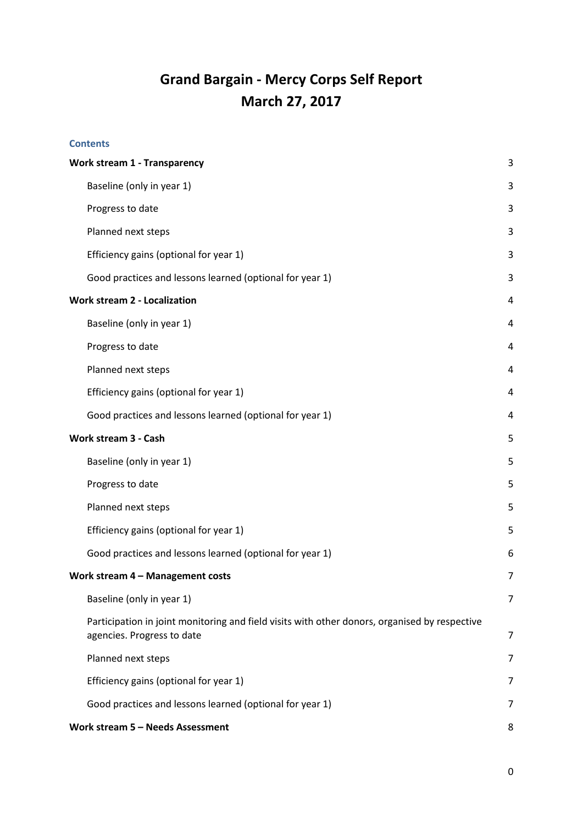# **Grand Bargain - Mercy Corps Self Report March 27, 2017**

## **Contents**

| <b>Work stream 1 - Transparency</b> |                                                                                                                             | 3              |
|-------------------------------------|-----------------------------------------------------------------------------------------------------------------------------|----------------|
|                                     | Baseline (only in year 1)                                                                                                   | 3              |
|                                     | Progress to date                                                                                                            | 3              |
|                                     | Planned next steps                                                                                                          | 3              |
|                                     | Efficiency gains (optional for year 1)                                                                                      | 3              |
|                                     | Good practices and lessons learned (optional for year 1)                                                                    | 3              |
| <b>Work stream 2 - Localization</b> |                                                                                                                             | 4              |
|                                     | Baseline (only in year 1)                                                                                                   | 4              |
|                                     | Progress to date                                                                                                            | 4              |
|                                     | Planned next steps                                                                                                          | 4              |
|                                     | Efficiency gains (optional for year 1)                                                                                      | 4              |
|                                     | Good practices and lessons learned (optional for year 1)                                                                    | 4              |
| Work stream 3 - Cash                |                                                                                                                             | 5              |
|                                     | Baseline (only in year 1)                                                                                                   | 5              |
|                                     | Progress to date                                                                                                            | 5              |
|                                     | Planned next steps                                                                                                          | 5              |
|                                     | Efficiency gains (optional for year 1)                                                                                      | 5              |
|                                     | Good practices and lessons learned (optional for year 1)                                                                    | 6              |
| Work stream 4 - Management costs    |                                                                                                                             | $\overline{7}$ |
|                                     | Baseline (only in year 1)                                                                                                   | 7              |
|                                     | Participation in joint monitoring and field visits with other donors, organised by respective<br>agencies. Progress to date | 7              |
|                                     | Planned next steps                                                                                                          | 7              |
|                                     | Efficiency gains (optional for year 1)                                                                                      | 7              |
|                                     | Good practices and lessons learned (optional for year 1)                                                                    | 7              |
|                                     | Work stream 5 - Needs Assessment                                                                                            |                |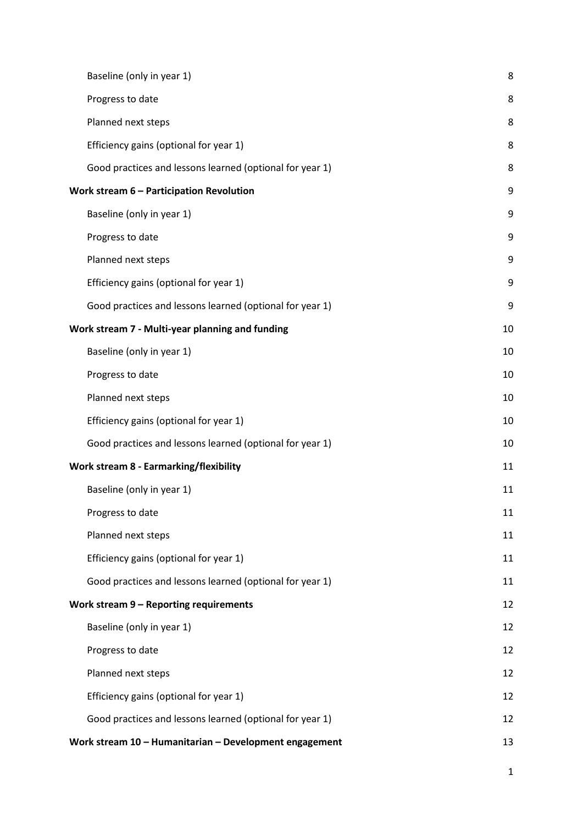| Baseline (only in year 1)                                | 8        |
|----------------------------------------------------------|----------|
| Progress to date                                         | 8        |
| Planned next steps                                       | 8        |
| Efficiency gains (optional for year 1)                   | 8        |
| Good practices and lessons learned (optional for year 1) | 8        |
| Work stream 6 - Participation Revolution                 | 9        |
| Baseline (only in year 1)                                | 9        |
| Progress to date                                         | 9        |
| Planned next steps                                       | 9        |
| Efficiency gains (optional for year 1)                   | 9        |
| Good practices and lessons learned (optional for year 1) | 9        |
| Work stream 7 - Multi-year planning and funding          |          |
| Baseline (only in year 1)                                | 10<br>10 |
| Progress to date                                         | 10       |
| Planned next steps                                       | 10       |
| Efficiency gains (optional for year 1)                   | 10       |
| Good practices and lessons learned (optional for year 1) | 10       |
| Work stream 8 - Earmarking/flexibility                   | 11       |
| Baseline (only in year 1)                                | 11       |
| Progress to date                                         | 11       |
| Planned next steps                                       | 11       |
| Efficiency gains (optional for year 1)                   | 11       |
| Good practices and lessons learned (optional for year 1) | 11       |
| Work stream 9 - Reporting requirements                   | 12       |
| Baseline (only in year 1)                                | 12       |
| Progress to date                                         | 12       |
| Planned next steps                                       | 12       |
| Efficiency gains (optional for year 1)                   | 12       |
| Good practices and lessons learned (optional for year 1) | 12       |
| Work stream 10 - Humanitarian - Development engagement   | 13       |

1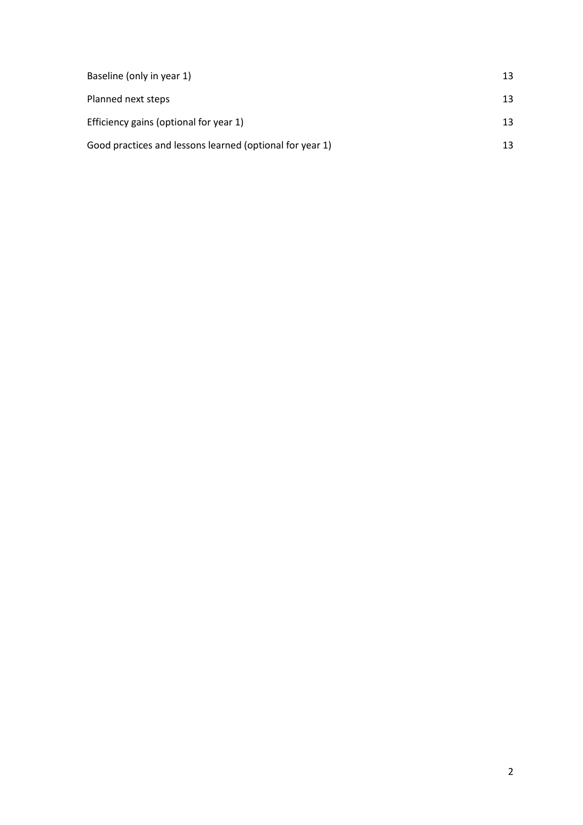| Baseline (only in year 1)                                | 13 |
|----------------------------------------------------------|----|
| Planned next steps                                       | 13 |
| Efficiency gains (optional for year 1)                   | 13 |
| Good practices and lessons learned (optional for year 1) | 13 |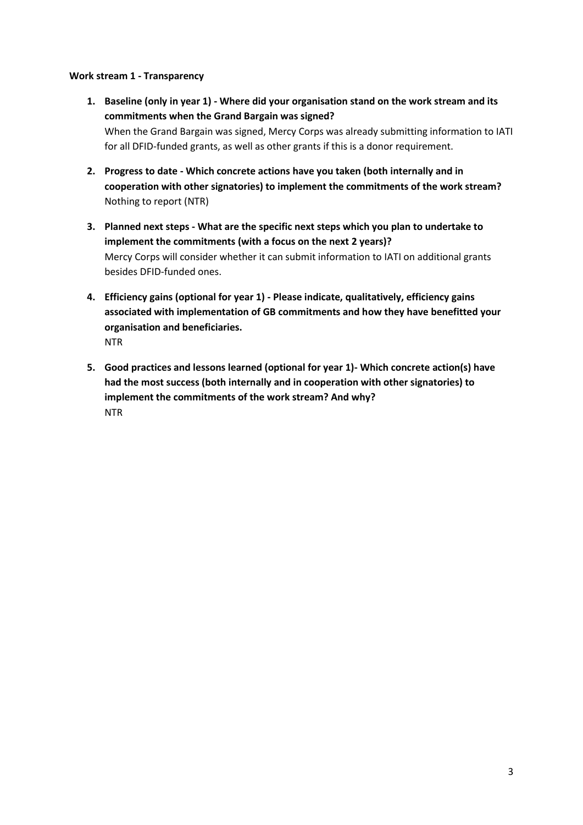## <span id="page-3-1"></span><span id="page-3-0"></span>**Work stream 1 - Transparency**

- **1. Baseline (only in year 1) - Where did your organisation stand on the work stream and its commitments when the Grand Bargain was signed?** When the Grand Bargain was signed, Mercy Corps was already submitting information to IATI for all DFID-funded grants, as well as other grants if this is a donor requirement.
- <span id="page-3-2"></span>**2. Progress to date - Which concrete actions have you taken (both internally and in cooperation with other signatories) to implement the commitments of the work stream?**  Nothing to report (NTR)
- <span id="page-3-3"></span>**3. Planned next steps - What are the specific next steps which you plan to undertake to implement the commitments (with a focus on the next 2 years)?** Mercy Corps will consider whether it can submit information to IATI on additional grants besides DFID-funded ones.
- <span id="page-3-4"></span>**4. Efficiency gains (optional for year 1) - Please indicate, qualitatively, efficiency gains associated with implementation of GB commitments and how they have benefitted your organisation and beneficiaries.** NTR
- <span id="page-3-5"></span>**5. Good practices and lessons learned (optional for year 1)- Which concrete action(s) have had the most success (both internally and in cooperation with other signatories) to implement the commitments of the work stream? And why?** NTR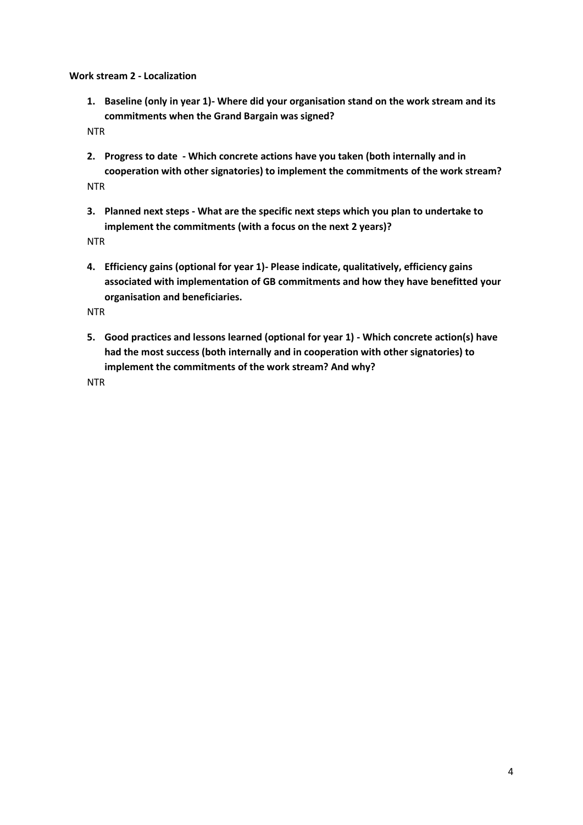<span id="page-4-1"></span><span id="page-4-0"></span>**Work stream 2 - Localization**

**1. Baseline (only in year 1)- Where did your organisation stand on the work stream and its commitments when the Grand Bargain was signed?**

NTR

- <span id="page-4-2"></span>**2. Progress to date - Which concrete actions have you taken (both internally and in cooperation with other signatories) to implement the commitments of the work stream?**  NTR
- <span id="page-4-3"></span>**3. Planned next steps - What are the specific next steps which you plan to undertake to implement the commitments (with a focus on the next 2 years)?**

NTR

<span id="page-4-4"></span>**4. Efficiency gains (optional for year 1)- Please indicate, qualitatively, efficiency gains associated with implementation of GB commitments and how they have benefitted your organisation and beneficiaries.**

NTR

<span id="page-4-5"></span>**5. Good practices and lessons learned (optional for year 1) - Which concrete action(s) have had the most success (both internally and in cooperation with other signatories) to implement the commitments of the work stream? And why?**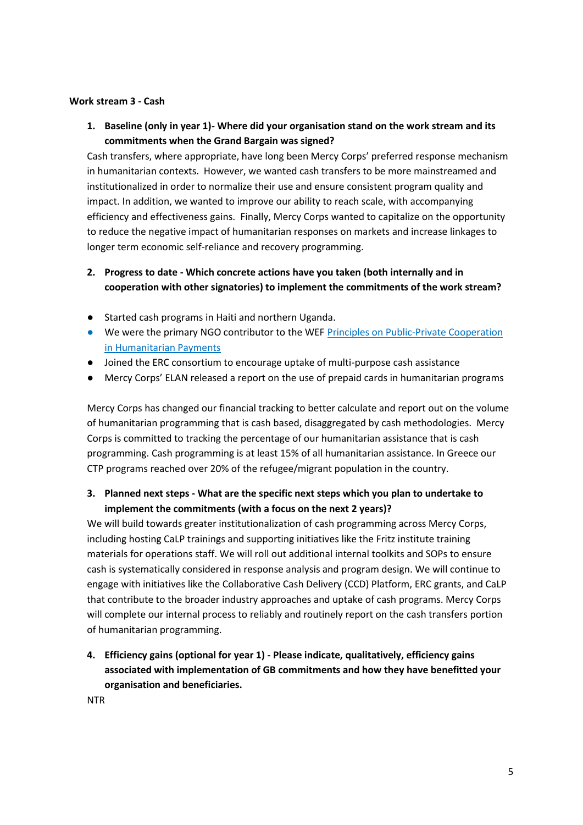#### <span id="page-5-1"></span><span id="page-5-0"></span>**Work stream 3 - Cash**

**1. Baseline (only in year 1)- Where did your organisation stand on the work stream and its commitments when the Grand Bargain was signed?**

Cash transfers, where appropriate, have long been Mercy Corps' preferred response mechanism in humanitarian contexts. However, we wanted cash transfers to be more mainstreamed and institutionalized in order to normalize their use and ensure consistent program quality and impact. In addition, we wanted to improve our ability to reach scale, with accompanying efficiency and effectiveness gains. Finally, Mercy Corps wanted to capitalize on the opportunity to reduce the negative impact of humanitarian responses on markets and increase linkages to longer term economic self-reliance and recovery programming.

# <span id="page-5-2"></span>**2. Progress to date - Which concrete actions have you taken (both internally and in cooperation with other signatories) to implement the commitments of the work stream?**

- Started cash programs in Haiti and northern Uganda.
- We were the primary NGO contributor to the WE[F](http://www3.weforum.org/docs/IP/2016/FS/WEF_FI_Principles_Humanitarian_Payments.pdf) Principles on Public-Private Cooperation [in Humanitarian Payments](http://www3.weforum.org/docs/IP/2016/FS/WEF_FI_Principles_Humanitarian_Payments.pdf)
- Joined the ERC consortium to encourage uptake of multi-purpose cash assistance
- Mercy Corps' ELAN released a report on the use of prepaid cards in humanitarian programs

Mercy Corps has changed our financial tracking to better calculate and report out on the volume of humanitarian programming that is cash based, disaggregated by cash methodologies. Mercy Corps is committed to tracking the percentage of our humanitarian assistance that is cash programming. Cash programming is at least 15% of all humanitarian assistance. In Greece our CTP programs reached over 20% of the refugee/migrant population in the country.

## <span id="page-5-3"></span>**3. Planned next steps - What are the specific next steps which you plan to undertake to implement the commitments (with a focus on the next 2 years)?**

We will build towards greater institutionalization of cash programming across Mercy Corps, including hosting CaLP trainings and supporting initiatives like the Fritz institute training materials for operations staff. We will roll out additional internal toolkits and SOPs to ensure cash is systematically considered in response analysis and program design. We will continue to engage with initiatives like the Collaborative Cash Delivery (CCD) Platform, ERC grants, and CaLP that contribute to the broader industry approaches and uptake of cash programs. Mercy Corps will complete our internal process to reliably and routinely report on the cash transfers portion of humanitarian programming.

<span id="page-5-4"></span>**4. Efficiency gains (optional for year 1) - Please indicate, qualitatively, efficiency gains associated with implementation of GB commitments and how they have benefitted your organisation and beneficiaries.**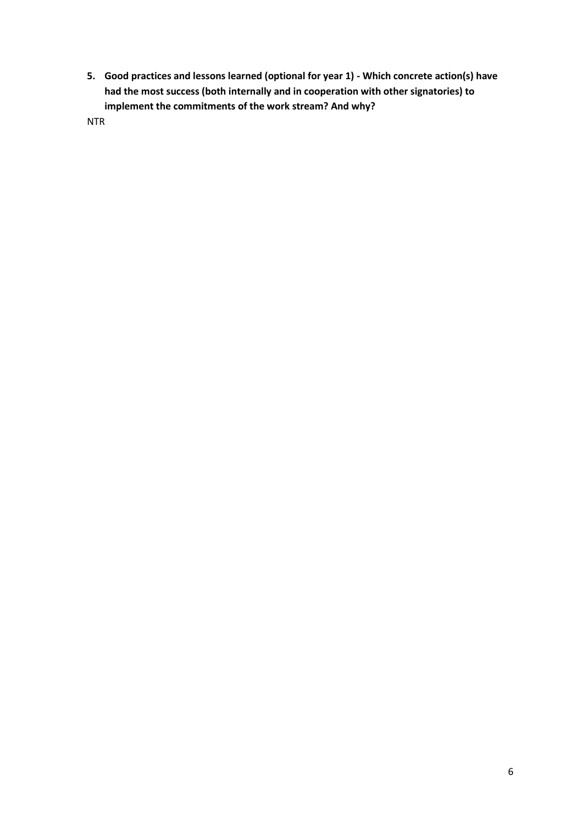<span id="page-6-0"></span>**5. Good practices and lessons learned (optional for year 1) - Which concrete action(s) have had the most success (both internally and in cooperation with other signatories) to implement the commitments of the work stream? And why?**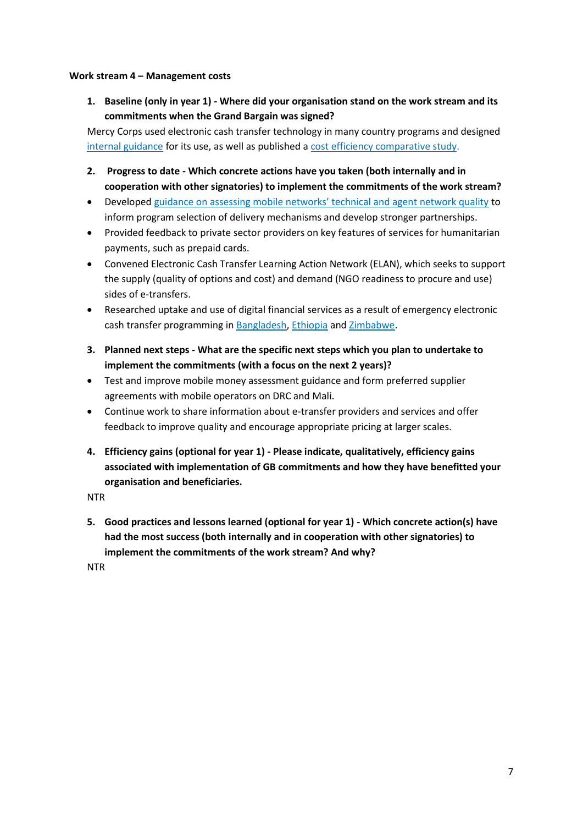## <span id="page-7-1"></span><span id="page-7-0"></span>**Work stream 4 – Management costs**

**1. Baseline (only in year 1) - Where did your organisation stand on the work stream and its commitments when the Grand Bargain was signed?**

Mercy Corps used electronic cash transfer technology in many country programs and designed [internal guidance](https://www.mercycorps.org/sites/default/files/E-TransferGuideAllAnnexes.pdf) for its use, as well as published a [cost efficiency comparative study.](https://www.mercycorps.org/sites/default/files/MercyCorps_DRC_CashTransfersCaseStudy_November2014.pdf)

- <span id="page-7-2"></span>**2. Progress to date - Which concrete actions have you taken (both internally and in cooperation with other signatories) to implement the commitments of the work stream?**
- Developed [guidance on assessing mobile networks' technical and agent network quality](http://www.cashlearning.org/downloads/mobile-money-assessment-and-contracting-guide-final.pdf) to inform program selection of delivery mechanisms and develop stronger partnerships.
- Provided feedback to private sector providers on key features of services for humanitarian payments, such as prepaid cards.
- Convened Electronic Cash Transfer Learning Action Network (ELAN), which seeks to support the supply (quality of options and cost) and demand (NGO readiness to procure and use) sides of e-transfers.
- Researched uptake and use of digital financial services as a result of emergency electronic cash transfer programming in [Bangladesh,](http://www.cashlearning.org/resources/library/985-can-e-transfers-promote-financial-inclusion-in-emergencies-a-case-study-from-bangladesh) [Ethiopia](http://www.cashlearning.org/resources/library/986-can-e-transfers-promote-financial-inclusion-in-emergencies-a-case-study-from-ethiopia) an[d Zimbabwe.](http://www.cashlearning.org/resources/library/987-can-e-transfers-promote-financial-inclusion-in-emergencies-a-case-study-from-zimbabwe)
- <span id="page-7-3"></span>**3. Planned next steps - What are the specific next steps which you plan to undertake to implement the commitments (with a focus on the next 2 years)?**
- Test and improve mobile money assessment guidance and form preferred supplier agreements with mobile operators on DRC and Mali.
- Continue work to share information about e-transfer providers and services and offer feedback to improve quality and encourage appropriate pricing at larger scales.
- <span id="page-7-4"></span>**4. Efficiency gains (optional for year 1) - Please indicate, qualitatively, efficiency gains associated with implementation of GB commitments and how they have benefitted your organisation and beneficiaries.**

NTR

<span id="page-7-5"></span>**5. Good practices and lessons learned (optional for year 1) - Which concrete action(s) have had the most success (both internally and in cooperation with other signatories) to implement the commitments of the work stream? And why?**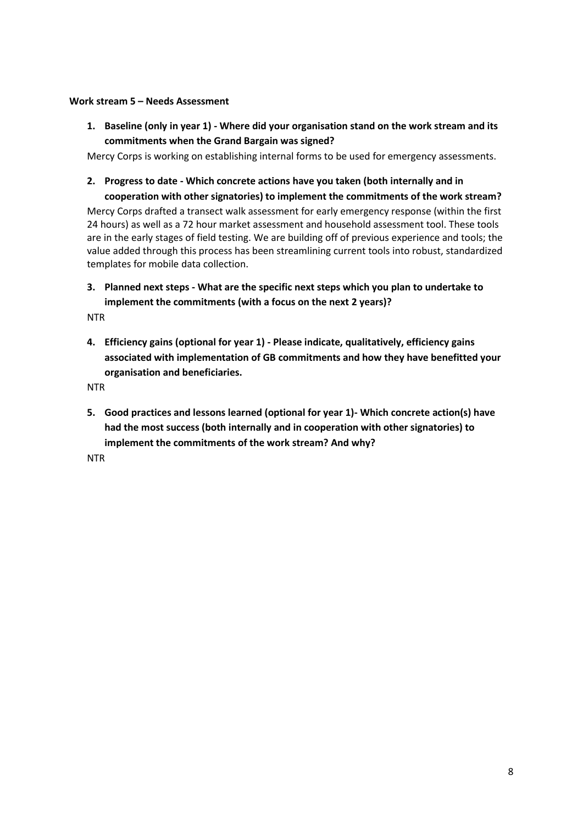#### <span id="page-8-1"></span><span id="page-8-0"></span>**Work stream 5 – Needs Assessment**

**1. Baseline (only in year 1) - Where did your organisation stand on the work stream and its commitments when the Grand Bargain was signed?**

Mercy Corps is working on establishing internal forms to be used for emergency assessments.

<span id="page-8-2"></span>**2. Progress to date - Which concrete actions have you taken (both internally and in** 

**cooperation with other signatories) to implement the commitments of the work stream?**  Mercy Corps drafted a transect walk assessment for early emergency response (within the first 24 hours) as well as a 72 hour market assessment and household assessment tool. These tools are in the early stages of field testing. We are building off of previous experience and tools; the value added through this process has been streamlining current tools into robust, standardized templates for mobile data collection.

<span id="page-8-3"></span>**3. Planned next steps - What are the specific next steps which you plan to undertake to implement the commitments (with a focus on the next 2 years)?**

**NTR** 

<span id="page-8-4"></span>**4. Efficiency gains (optional for year 1) - Please indicate, qualitatively, efficiency gains associated with implementation of GB commitments and how they have benefitted your organisation and beneficiaries.**

NTR

<span id="page-8-5"></span>**5. Good practices and lessons learned (optional for year 1)- Which concrete action(s) have had the most success (both internally and in cooperation with other signatories) to implement the commitments of the work stream? And why?**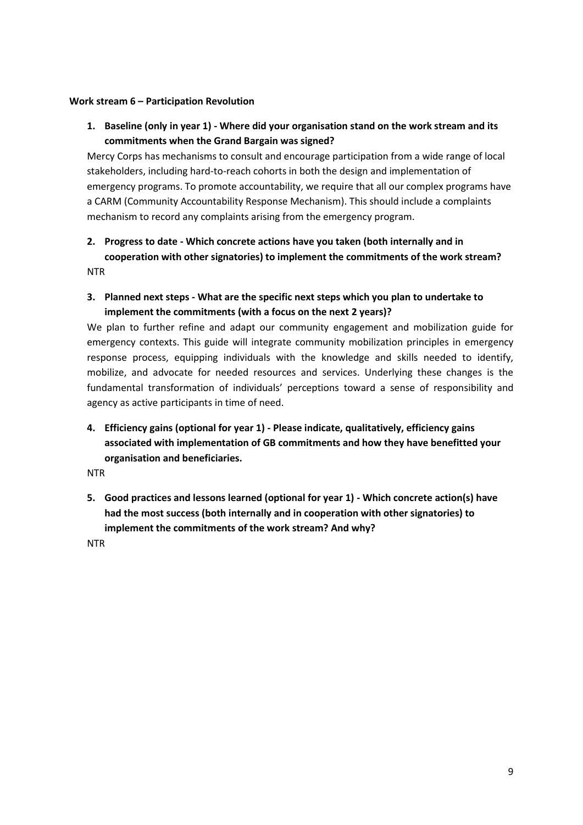#### <span id="page-9-1"></span><span id="page-9-0"></span>**Work stream 6 – Participation Revolution**

**1. Baseline (only in year 1) - Where did your organisation stand on the work stream and its commitments when the Grand Bargain was signed?**

Mercy Corps has mechanisms to consult and encourage participation from a wide range of local stakeholders, including hard-to-reach cohorts in both the design and implementation of emergency programs. To promote accountability, we require that all our complex programs have a CARM (Community Accountability Response Mechanism). This should include a complaints mechanism to record any complaints arising from the emergency program.

# <span id="page-9-2"></span>**2. Progress to date - Which concrete actions have you taken (both internally and in cooperation with other signatories) to implement the commitments of the work stream?**  NTR

<span id="page-9-3"></span>**3. Planned next steps - What are the specific next steps which you plan to undertake to implement the commitments (with a focus on the next 2 years)?**

We plan to further refine and adapt our community engagement and mobilization guide for emergency contexts. This guide will integrate community mobilization principles in emergency response process, equipping individuals with the knowledge and skills needed to identify, mobilize, and advocate for needed resources and services. Underlying these changes is the fundamental transformation of individuals' perceptions toward a sense of responsibility and agency as active participants in time of need.

<span id="page-9-4"></span>**4. Efficiency gains (optional for year 1) - Please indicate, qualitatively, efficiency gains associated with implementation of GB commitments and how they have benefitted your organisation and beneficiaries.**

NTR

<span id="page-9-5"></span>**5. Good practices and lessons learned (optional for year 1) - Which concrete action(s) have had the most success (both internally and in cooperation with other signatories) to implement the commitments of the work stream? And why?**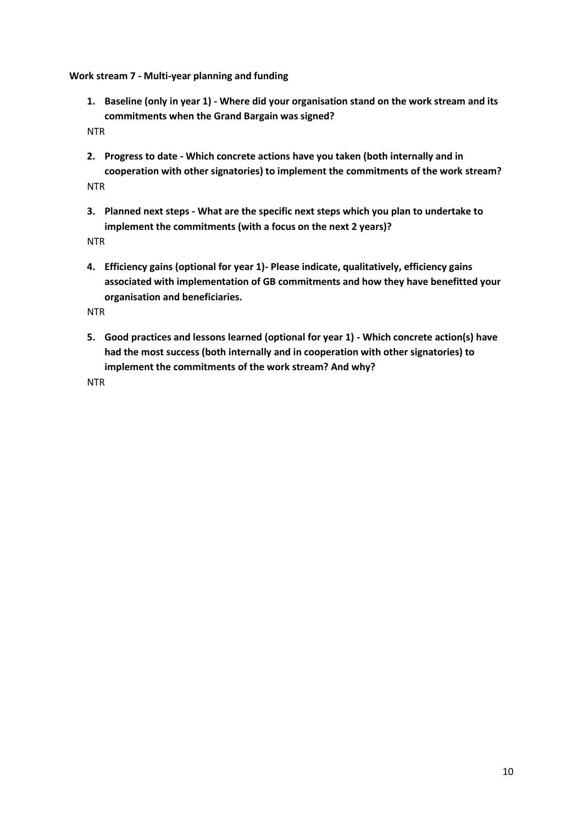<span id="page-10-1"></span><span id="page-10-0"></span>**Work stream 7 - Multi-year planning and funding**

**1. Baseline (only in year 1) - Where did your organisation stand on the work stream and its commitments when the Grand Bargain was signed?**

NTR

- <span id="page-10-2"></span>**2. Progress to date - Which concrete actions have you taken (both internally and in cooperation with other signatories) to implement the commitments of the work stream?**  NTR
- <span id="page-10-3"></span>**3. Planned next steps - What are the specific next steps which you plan to undertake to implement the commitments (with a focus on the next 2 years)?**

NTR

<span id="page-10-4"></span>**4. Efficiency gains (optional for year 1)- Please indicate, qualitatively, efficiency gains associated with implementation of GB commitments and how they have benefitted your organisation and beneficiaries.**

NTR

<span id="page-10-5"></span>**5. Good practices and lessons learned (optional for year 1) - Which concrete action(s) have had the most success (both internally and in cooperation with other signatories) to implement the commitments of the work stream? And why?**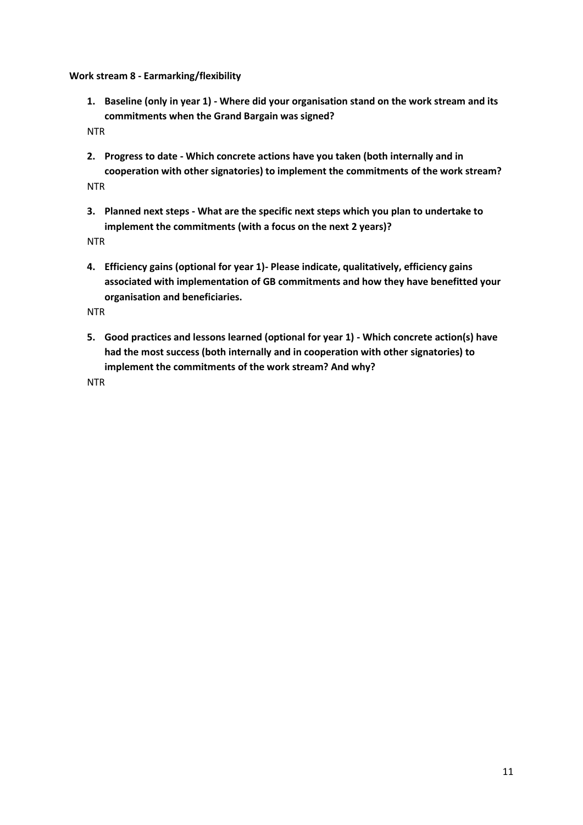<span id="page-11-1"></span><span id="page-11-0"></span>**Work stream 8 - Earmarking/flexibility**

**1. Baseline (only in year 1) - Where did your organisation stand on the work stream and its commitments when the Grand Bargain was signed?**

NTR

<span id="page-11-2"></span>**2. Progress to date - Which concrete actions have you taken (both internally and in cooperation with other signatories) to implement the commitments of the work stream?**  NTR

<span id="page-11-3"></span>

**3. Planned next steps - What are the specific next steps which you plan to undertake to implement the commitments (with a focus on the next 2 years)?**

NTR

<span id="page-11-4"></span>**4. Efficiency gains (optional for year 1)- Please indicate, qualitatively, efficiency gains associated with implementation of GB commitments and how they have benefitted your organisation and beneficiaries.**

NTR

<span id="page-11-5"></span>**5. Good practices and lessons learned (optional for year 1) - Which concrete action(s) have had the most success (both internally and in cooperation with other signatories) to implement the commitments of the work stream? And why?**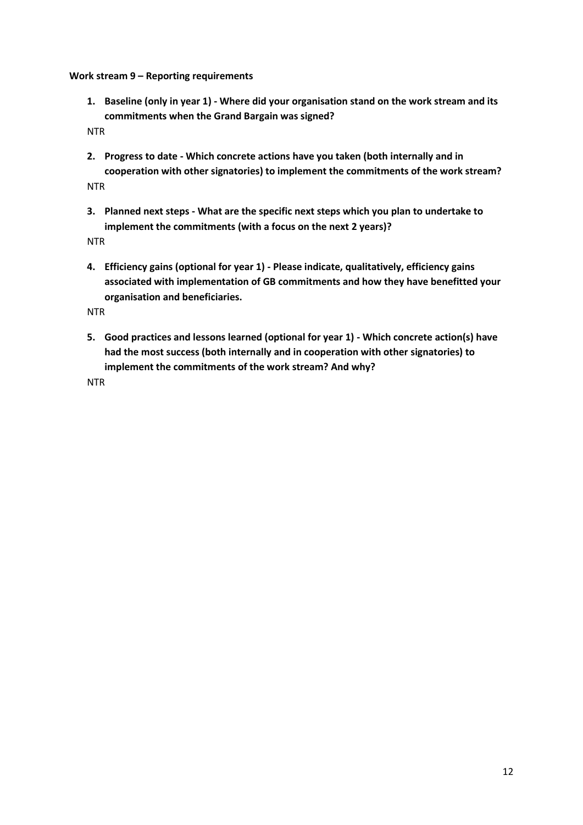<span id="page-12-1"></span><span id="page-12-0"></span>**Work stream 9 – Reporting requirements**

**1. Baseline (only in year 1) - Where did your organisation stand on the work stream and its commitments when the Grand Bargain was signed?**

NTR

<span id="page-12-2"></span>**2. Progress to date - Which concrete actions have you taken (both internally and in cooperation with other signatories) to implement the commitments of the work stream?**  NTR

<span id="page-12-3"></span>

**3. Planned next steps - What are the specific next steps which you plan to undertake to implement the commitments (with a focus on the next 2 years)?**

NTR

<span id="page-12-4"></span>**4. Efficiency gains (optional for year 1) - Please indicate, qualitatively, efficiency gains associated with implementation of GB commitments and how they have benefitted your organisation and beneficiaries.**

NTR

<span id="page-12-5"></span>**5. Good practices and lessons learned (optional for year 1) - Which concrete action(s) have had the most success (both internally and in cooperation with other signatories) to implement the commitments of the work stream? And why?**